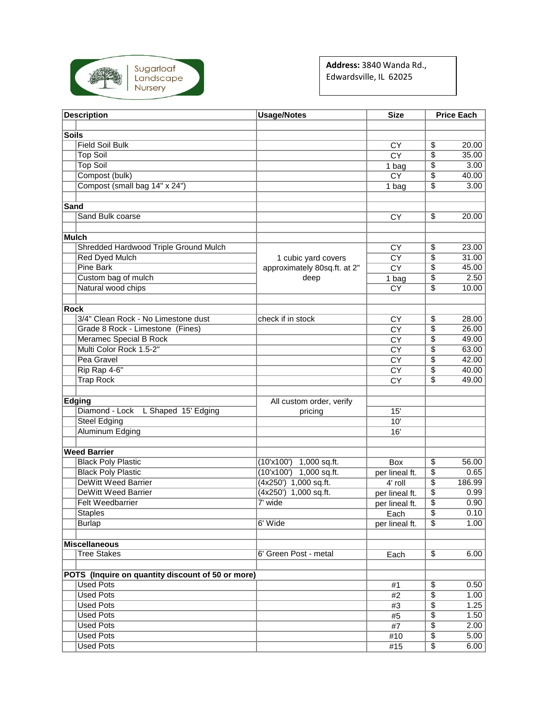

**Address:** 3840 Wanda Rd., Edwardsville, IL 62025

| <b>Description</b> |                                                   | <b>Usage/Notes</b>           | <b>Size</b>            | <b>Price Each</b> |        |
|--------------------|---------------------------------------------------|------------------------------|------------------------|-------------------|--------|
|                    |                                                   |                              |                        |                   |        |
| <b>Soils</b>       |                                                   |                              |                        |                   |        |
|                    | <b>Field Soil Bulk</b>                            |                              | CY                     | \$                | 20.00  |
|                    | <b>Top Soil</b>                                   |                              | $\overline{CY}$        | \$                | 35.00  |
|                    | <b>Top Soil</b>                                   |                              | 1 bag                  | \$                | 3.00   |
|                    | Compost (bulk)                                    |                              | CY                     | \$                | 40.00  |
|                    | Compost (small bag 14" x 24")                     |                              | 1 bag                  | \$                | 3.00   |
|                    |                                                   |                              |                        |                   |        |
| Sand               |                                                   |                              |                        |                   |        |
|                    | Sand Bulk coarse                                  |                              | CY                     | \$                | 20.00  |
|                    |                                                   |                              |                        |                   |        |
|                    | Mulch                                             |                              |                        |                   |        |
|                    | Shredded Hardwood Triple Ground Mulch             |                              | CY                     | \$                | 23.00  |
|                    | <b>Red Dyed Mulch</b>                             | 1 cubic yard covers          | $\overline{CY}$        | $\overline{\$}$   | 31.00  |
|                    | <b>Pine Bark</b>                                  | approximately 80sq.ft. at 2" | $\overline{\text{CY}}$ | \$                | 45.00  |
|                    | Custom bag of mulch                               | deep                         | 1 bag                  | \$                | 2.50   |
|                    | Natural wood chips                                |                              | CY                     | \$                | 10.00  |
| Rock               |                                                   |                              |                        |                   |        |
|                    | 3/4" Clean Rock - No Limestone dust               | check if in stock            |                        |                   | 28.00  |
|                    | Grade 8 Rock - Limestone (Fines)                  |                              | CY                     | \$<br>\$          | 26.00  |
|                    | Meramec Special B Rock                            |                              | <b>CY</b><br><b>CY</b> | \$                | 49.00  |
|                    | Multi Color Rock 1.5-2"                           |                              | <b>CY</b>              | \$                | 63.00  |
|                    | Pea Gravel                                        |                              |                        | \$                | 42.00  |
|                    | Rip Rap 4-6"                                      |                              | <b>CY</b><br>CY        | $\overline{\$}$   | 40.00  |
|                    | <b>Trap Rock</b>                                  |                              | $\overline{CY}$        | \$                | 49.00  |
|                    |                                                   |                              |                        |                   |        |
|                    | Edging                                            | All custom order, verify     |                        |                   |        |
|                    | Diamond - Lock<br>L Shaped 15' Edging             | pricing                      | 15'                    |                   |        |
|                    | <b>Steel Edging</b>                               |                              | 10'                    |                   |        |
|                    | <b>Aluminum Edging</b>                            |                              | 16'                    |                   |        |
|                    |                                                   |                              |                        |                   |        |
|                    | <b>Weed Barrier</b>                               |                              |                        |                   |        |
|                    | <b>Black Poly Plastic</b>                         | (10x100)<br>1,000 sq.ft.     | <b>Box</b>             | \$                | 56.00  |
|                    | <b>Black Poly Plastic</b>                         | (10x100)<br>1,000 sq.ft.     | per lineal ft.         | $\overline{\$}$   | 0.65   |
|                    | <b>DeWitt Weed Barrier</b>                        | (4x250') 1,000 sq.ft.        | 4' roll                | \$                | 186.99 |
|                    | <b>DeWitt Weed Barrier</b>                        | (4x250') 1,000 sq.ft.        | per lineal ft.         | \$                | 0.99   |
|                    | <b>Felt Weedbarrier</b>                           | 7' wide                      | per lineal ft.         | \$                | 0.90   |
|                    | <b>Staples</b>                                    |                              | Each                   | $\overline{\$}$   | 0.10   |
|                    | <b>Burlap</b>                                     | 6' Wide                      | per lineal ft.         | $\overline{\$}$   | 1.00   |
|                    |                                                   |                              |                        |                   |        |
|                    | <b>Miscellaneous</b>                              |                              |                        |                   |        |
|                    | <b>Tree Stakes</b>                                | 6' Green Post - metal        | Each                   | \$                | 6.00   |
|                    |                                                   |                              |                        |                   |        |
|                    | POTS (Inquire on quantity discount of 50 or more) |                              |                        |                   |        |
|                    | <b>Used Pots</b>                                  |                              | #1                     | \$                | 0.50   |
|                    | <b>Used Pots</b>                                  |                              | $#2$                   | $\overline{\$}$   | 1.00   |
|                    | <b>Used Pots</b>                                  |                              | #3                     | \$                | 1.25   |
|                    | <b>Used Pots</b>                                  |                              | #5                     | \$                | 1.50   |
|                    | <b>Used Pots</b>                                  |                              | #7                     | $\overline{\$}$   | 2.00   |
|                    | <b>Used Pots</b>                                  |                              | #10                    | \$                | 5.00   |
|                    | <b>Used Pots</b>                                  |                              | #15                    | \$                | 6.00   |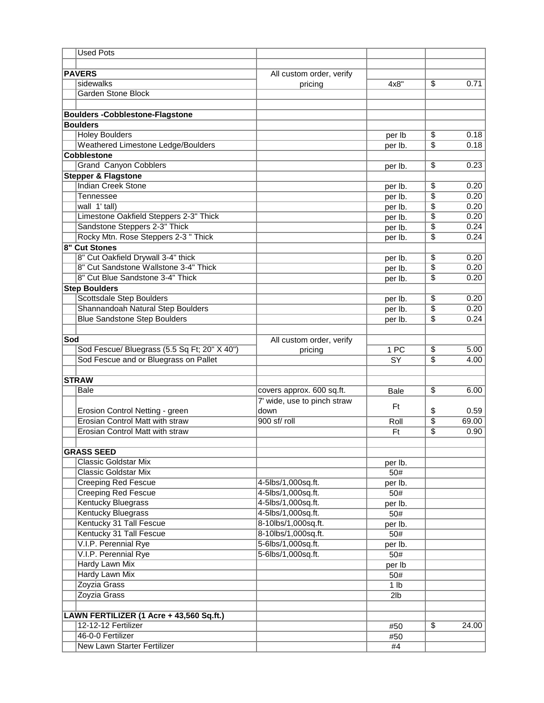| <b>Used Pots</b>                             |                             |                 |                 |       |  |
|----------------------------------------------|-----------------------------|-----------------|-----------------|-------|--|
|                                              |                             |                 |                 |       |  |
| <b>PAVERS</b>                                | All custom order, verify    |                 |                 |       |  |
| sidewalks                                    | pricing                     | $4x8$ "         | \$              | 0.71  |  |
| <b>Garden Stone Block</b>                    |                             |                 |                 |       |  |
|                                              |                             |                 |                 |       |  |
| <b>Boulders -Cobblestone-Flagstone</b>       |                             |                 |                 |       |  |
| <b>Boulders</b>                              |                             |                 |                 |       |  |
| <b>Holey Boulders</b>                        |                             |                 |                 | 0.18  |  |
|                                              |                             | per lb          | \$              | 0.18  |  |
| Weathered Limestone Ledge/Boulders           |                             | per lb.         | $\overline{\$}$ |       |  |
| <b>Cobblestone</b>                           |                             |                 |                 |       |  |
| <b>Grand Canyon Cobblers</b>                 |                             | per lb.         | \$              | 0.23  |  |
| <b>Stepper &amp; Flagstone</b>               |                             |                 |                 |       |  |
| <b>Indian Creek Stone</b>                    |                             | per lb.         | \$              | 0.20  |  |
| Tennessee                                    |                             | per lb.         | \$              | 0.20  |  |
| wall 1' tall)                                |                             | per lb.         | \$              | 0.20  |  |
| Limestone Oakfield Steppers 2-3" Thick       |                             | per lb.         | $\overline{\$}$ | 0.20  |  |
| Sandstone Steppers 2-3" Thick                |                             | per lb.         | \$              | 0.24  |  |
| Rocky Mtn. Rose Steppers 2-3 " Thick         |                             | per lb.         | \$              | 0.24  |  |
| 8" Cut Stones                                |                             |                 |                 |       |  |
| 8" Cut Oakfield Drywall 3-4" thick           |                             | per lb.         | \$              | 0.20  |  |
| 8" Cut Sandstone Wallstone 3-4" Thick        |                             | per lb.         | \$              | 0.20  |  |
| 8" Cut Blue Sandstone 3-4" Thick             |                             | per lb.         | $\overline{\$}$ | 0.20  |  |
| <b>Step Boulders</b>                         |                             |                 |                 |       |  |
| <b>Scottsdale Step Boulders</b>              |                             | per lb.         | $\overline{\$}$ | 0.20  |  |
| Shannandoah Natural Step Boulders            |                             | per lb.         | \$              | 0.20  |  |
| <b>Blue Sandstone Step Boulders</b>          |                             | per lb.         | \$              | 0.24  |  |
|                                              |                             |                 |                 |       |  |
| Sod                                          | All custom order, verify    |                 |                 |       |  |
| Sod Fescue/ Bluegrass (5.5 Sq Ft; 20" X 40") | pricing                     | 1 PC            | $\overline{\$}$ | 5.00  |  |
| Sod Fescue and or Bluegrass on Pallet        |                             | $\overline{SY}$ | \$              | 4.00  |  |
|                                              |                             |                 |                 |       |  |
|                                              |                             |                 |                 |       |  |
| <b>STRAW</b>                                 |                             |                 |                 |       |  |
| Bale                                         | covers approx. 600 sq.ft.   | <b>Bale</b>     | $\overline{\$}$ | 6.00  |  |
|                                              | 7' wide, use to pinch straw | Ft              |                 |       |  |
| Erosion Control Netting - green              | down                        |                 | \$              | 0.59  |  |
| <b>Erosian Control Matt with straw</b>       | 900 sf/ roll                | Roll            | $\overline{\$}$ | 69.00 |  |
| <b>Erosian Control Matt with straw</b>       |                             | Ft              | \$              | 0.90  |  |
|                                              |                             |                 |                 |       |  |
| <b>GRASS SEED</b>                            |                             |                 |                 |       |  |
| <b>Classic Goldstar Mix</b>                  |                             | per lb.         |                 |       |  |
| <b>Classic Goldstar Mix</b>                  |                             | 50#             |                 |       |  |
| <b>Creeping Red Fescue</b>                   | 4-5lbs/1,000sq.ft.          | per lb.         |                 |       |  |
| <b>Creeping Red Fescue</b>                   | 4-5lbs/1,000sq.ft.          | 50#             |                 |       |  |
| <b>Kentucky Bluegrass</b>                    | 4-5lbs/1,000sq.ft.          | per lb.         |                 |       |  |
| <b>Kentucky Bluegrass</b>                    | 4-5lbs/1,000sq.ft.          | 50#             |                 |       |  |
| Kentucky 31 Tall Fescue                      | 8-10lbs/1,000sq.ft.         | per lb.         |                 |       |  |
| Kentucky 31 Tall Fescue                      | 8-10lbs/1,000sq.ft.         | 50#             |                 |       |  |
| V.I.P. Perennial Rye                         | 5-6lbs/1,000sq.ft.          | per lb.         |                 |       |  |
| V.I.P. Perennial Rye                         | 5-6lbs/1,000sq.ft.          | 50#             |                 |       |  |
| <b>Hardy Lawn Mix</b>                        |                             | per lb          |                 |       |  |
| <b>Hardy Lawn Mix</b>                        |                             | 50#             |                 |       |  |
| Zoyzia Grass                                 |                             | 1 lb            |                 |       |  |
| Zoyzia Grass                                 |                             | 2 <sub>lb</sub> |                 |       |  |
|                                              |                             |                 |                 |       |  |
| LAWN FERTILIZER (1 Acre + 43,560 Sq.ft.)     |                             |                 |                 |       |  |
| 12-12-12 Fertilizer                          |                             |                 | $\overline{\$}$ | 24.00 |  |
| 46-0-0 Fertilizer                            |                             | #50             |                 |       |  |
| New Lawn Starter Fertilizer                  |                             | #50             |                 |       |  |
|                                              |                             | #4              |                 |       |  |